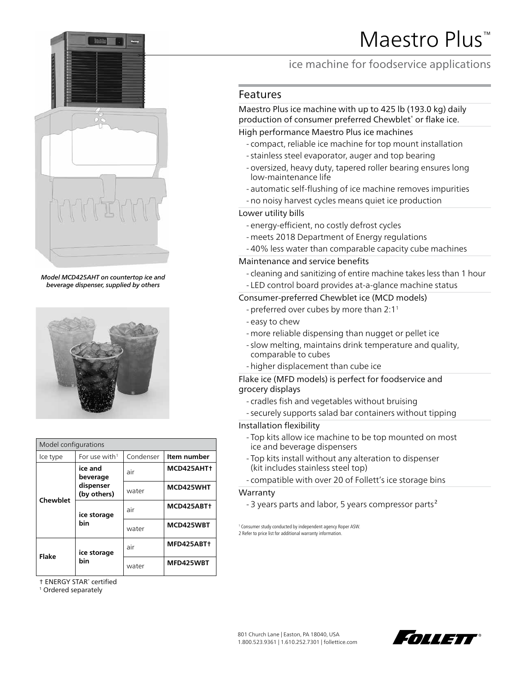# Maestro Plus™



*Model MCD425AHT on countertop ice and beverage dispenser, supplied by others*



| Model configurations |                           |           |             |  |  |  |
|----------------------|---------------------------|-----------|-------------|--|--|--|
| Ice type             | For use with <sup>1</sup> | Condenser | Item number |  |  |  |
| Chewblet             | ice and<br>beverage       | air       | MCD425AHT1  |  |  |  |
|                      | dispenser<br>(by others)  | water     | MCD425WHT   |  |  |  |
|                      | ice storage<br>bin        | air       | MCD425ABT+  |  |  |  |
|                      |                           | water     | MCD425WBT   |  |  |  |
| Flake                | ice storage<br>bin        | air       | MFD425ABT1  |  |  |  |
|                      |                           | water     | MFD425WBT   |  |  |  |

† ENERGY STAR® certified

<sup>1</sup> Ordered separately

# ice machine for foodservice applications

### Features

Maestro Plus ice machine with up to 425 lb (193.0 kg) daily production of consumer preferred Chewblet<sup>®</sup> or flake ice. High performance Maestro Plus ice machines

- compact, reliable ice machine for top mount installation
- stainless steel evaporator, auger and top bearing
- oversized, heavy duty, tapered roller bearing ensures long low-maintenance life
- automatic self-flushing of ice machine removes impurities
- no noisy harvest cycles means quiet ice production

#### Lower utility bills

- energy-efficient, no costly defrost cycles
- meets 2018 Department of Energy regulations
- 40% less water than comparable capacity cube machines

#### Maintenance and service benefits

- cleaning and sanitizing of entire machine takes less than 1 hour
- LED control board provides at-a-glance machine status

#### Consumer-preferred Chewblet ice (MCD models)

- preferred over cubes by more than 2:11
- easy to chew
- more reliable dispensing than nugget or pellet ice
- slow melting, maintains drink temperature and quality, comparable to cubes
- higher displacement than cube ice

#### Flake ice (MFD models) is perfect for foodservice and grocery displays

- cradles fish and vegetables without bruising
- securely supports salad bar containers without tipping

#### Installation flexibility

- Top kits allow ice machine to be top mounted on most ice and beverage dispensers
- Top kits install without any alteration to dispenser (kit includes stainless steel top)
- compatible with over 20 of Follett's ice storage bins

#### Warranty

- 3 years parts and labor, 5 years compressor parts<sup>2</sup>

<sup>1</sup> Consumer study conducted by independent agency Roper ASW. 2 Refer to price list for additional warranty information.

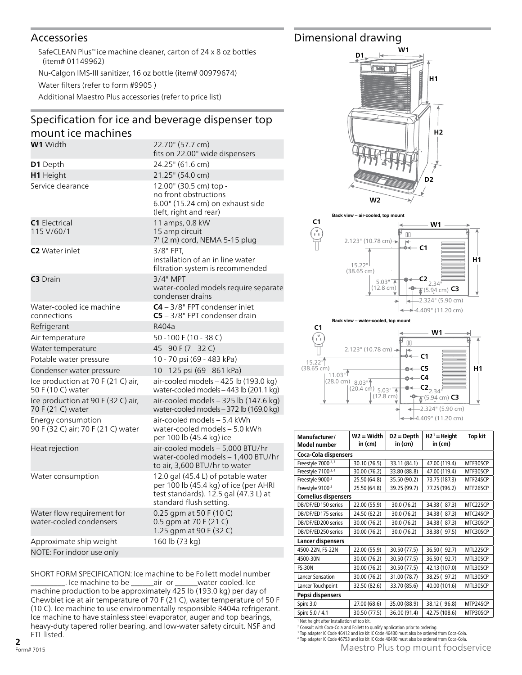SafeCLEAN Plus™ ice machine cleaner, carton of 24 x 8 oz bottles (item# 01149962)

Nu-Calgon IMS-III sanitizer, 16 oz bottle (item# 00979674) Water filters (refer to form #9905 )

Additional Maestro Plus accessories (refer to price list)

# Specification for ice and beverage dispenser top mount ice machines

| <b>W1</b> Width                                          | 22.70" (57.7 cm)<br>fits on 22.00" wide dispensers                                                                                              |
|----------------------------------------------------------|-------------------------------------------------------------------------------------------------------------------------------------------------|
| D1 Depth                                                 | 24.25" (61.6 cm)                                                                                                                                |
| H1 Height                                                | 21.25" (54.0 cm)                                                                                                                                |
| Service clearance                                        | 12.00" (30.5 cm) top -<br>no front obstructions<br>6.00" (15.24 cm) on exhaust side<br>(left, right and rear)                                   |
| <b>C1</b> Electrical<br>115 V/60/1                       | 11 amps, 0.8 kW<br>15 amp circuit<br>7' (2 m) cord, NEMA 5-15 plug                                                                              |
| <b>C2</b> Water inlet                                    | 3/8" FPT,<br>installation of an in line water<br>filtration system is recommended                                                               |
| C3 Drain                                                 | 3/4" MPT<br>water-cooled models require separate<br>condenser drains                                                                            |
| Water-cooled ice machine<br>connections                  | $C4 - 3/8$ " FPT condenser inlet<br>$C5 - 3/8$ " FPT condenser drain                                                                            |
| Refrigerant                                              | R404a                                                                                                                                           |
| Air temperature                                          | 50 -100 F (10 - 38 C)                                                                                                                           |
| Water temperature                                        | 45 - 90 F (7 - 32 C)                                                                                                                            |
| Potable water pressure                                   | 10 - 70 psi (69 - 483 kPa)                                                                                                                      |
| Condenser water pressure                                 | 10 - 125 psi (69 - 861 kPa)                                                                                                                     |
| Ice production at 70 F (21 C) air,<br>50 F (10 C) water  | air-cooled models - 425 lb (193.0 kg)<br>water-cooled models - 443 lb (201.1 kg)                                                                |
| Ice production at 90 F (32 C) air,<br>70 F (21 C) water  | air-cooled models - 325 lb (147.6 kg)<br>water-cooled models - 372 lb (169.0 kg)                                                                |
| Energy consumption<br>90 F (32 C) air; 70 F (21 C) water | air-cooled models – 5.4 kWh<br>water-cooled models – 5.0 kWh<br>per 100 lb (45.4 kg) ice                                                        |
| Heat rejection                                           | air-cooled models - 5,000 BTU/hr<br>water-cooled models - 1,400 BTU/hr<br>to air, 3,600 BTU/hr to water                                         |
| Water consumption                                        | 12.0 gal (45.4 L) of potable water<br>per 100 lb (45.4 kg) of ice (per AHRI<br>test standards). 12.5 gal (47.3 L) at<br>standard flush setting. |
| Water flow requirement for<br>water-cooled condensers    | 0.25 gpm at 50 F (10 C)<br>0.5 gpm at 70 F (21 C)<br>1.25 gpm at 90 F (32 C)                                                                    |
| Approximate ship weight                                  | 160 lb (73 kg)                                                                                                                                  |
| NOTE: For indoor use only                                |                                                                                                                                                 |

Accessories **Dimensional drawing** 







| Manufacturer/<br><b>Model number</b> | $W2 = Width$<br>in (cm) | $D2 = \text{Depth}$<br>in (cm) | $H2^1 = Height$<br>in (cm) | <b>Top kit</b> |  |  |  |
|--------------------------------------|-------------------------|--------------------------------|----------------------------|----------------|--|--|--|
| Coca-Cola dispensers                 |                         |                                |                            |                |  |  |  |
| Freestyle 7000 <sup>2,3</sup>        | 30.10 (76.5)            | 33.11 (84.1)                   | 47.00 (119.4)              | MTF30SCP       |  |  |  |
| Freestyle 7100 <sup>2,4</sup>        | 30.00 (76.2)            | 33.80 (88.8)                   | 47.00 (119.4)              | MTF30SCP       |  |  |  |
| Freestyle 9000 <sup>2</sup>          | 25.50 (64.8)            | 35.50 (90.2)                   | 73.75 (187.3)              | MTF24SCP       |  |  |  |
| Freestyle 9100 <sup>2</sup>          | 25.50 (64.8)            | 39.25 (99.7)                   | 77.25 (196.2)              | MTF26SCP       |  |  |  |
| <b>Cornelius dispensers</b>          |                         |                                |                            |                |  |  |  |
| DB/DF/ED150 series                   | 22.00 (55.9)            | 30.0 (76.2)                    | 34.38 (87.3)               | MTC22SCP       |  |  |  |
| DB/DF/ED175 series                   | 24.50 (62.2)            | 30.0 (76.2)                    | 34.38 (87.3)               | MTC24SCP       |  |  |  |
| DB/DF/ED200 series                   | 30.00 (76.2)            | 30.0 (76.2)                    | 34.38 (87.3)               | MTC30SCP       |  |  |  |
| DB/DF/ED250 series                   | 30.00 (76.2)            | 30.0 (76.2)                    | 38.38 (97.5)               | MTC30SCP       |  |  |  |
| Lancer dispensers                    |                         |                                |                            |                |  |  |  |
| 4500-22N, FS-22N                     | 22.00 (55.9)            | 30.50 (77.5)                   | 36.50 (92.7)               | MTL22SCP       |  |  |  |
| 4500-30N                             | 30.00 (76.2)            | 30.50 (77.5)                   | 36.50 (92.7)               | MTL30SCP       |  |  |  |
| <b>FS-30N</b>                        | 30.00 (76.2)            | 30.50 (77.5)                   | 42.13 (107.0)              | MTL30SCP       |  |  |  |
| <b>Lancer Sensation</b>              | 30.00 (76.2)            | 31.00 (78.7)                   | 38.25 (97.2)               | MTL30SCP       |  |  |  |
| Lancer Touchpoint                    | 32.50 (82.6)            | 33.70 (85.6)                   | 40.00 (101.6)              | MTL30SCP       |  |  |  |
| Pepsi dispensers                     |                         |                                |                            |                |  |  |  |
| Spire 3.0                            | 27.00 (68.6)            | 35.00 (88.9)                   | 38.12 (96.8)               | MTP24SCP       |  |  |  |
| Spire 5.0 / 4.1                      | 30.50 (77.5)            | 36.00 (91.4)                   | 42.75 (108.6)              | MTP30SCP       |  |  |  |

<sup>1</sup> Net height after installation of top kit.

2 Consult with Coca-Cola and Follett to qualify application prior to ordering.

<sup>3</sup> Top adapter IC Code 46412 and ice kit IC Code 46430 must also be ordered from Coca-Cola. <sup>4</sup> Top adapter IC Code 46753 and ice kit IC Code 46430 must also be ordered from Coca-Cola.

Maestro Plus top mount foodservice

SHORT FORM SPECIFICATION: Ice machine to be Follett model number . Ice machine to be \_\_\_\_\_\_\_air- or \_\_\_\_\_\_water-cooled. Ice

machine production to be approximately 425 lb (193.0 kg) per day of Chewblet ice at air temperature of 70 F (21 C), water temperature of 50 F (10 C). Ice machine to use environmentally responsible R404a refrigerant. Ice machine to have stainless steel evaporator, auger and top bearings, heavy-duty tapered roller bearing, and low-water safety circuit. NSF and ETL listed.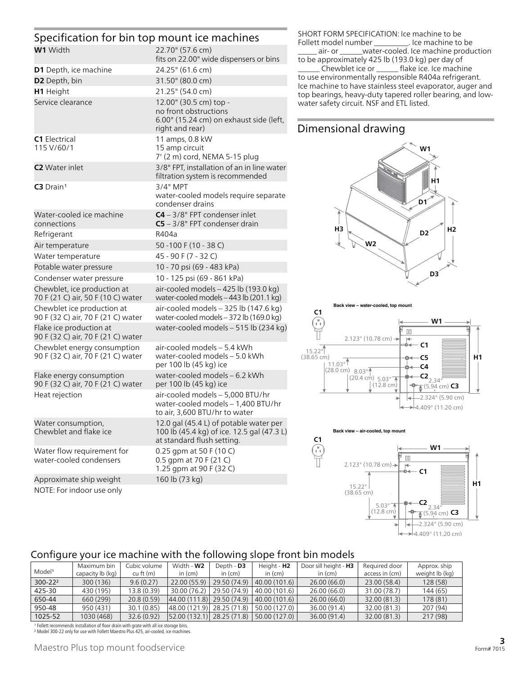# Specification for bin top mount ice machines

| <b>W1</b> Width                                                   | 22.70" (57.6 cm)<br>fits on 22.00" wide dispensers or bins                                                         |
|-------------------------------------------------------------------|--------------------------------------------------------------------------------------------------------------------|
| D1 Depth, ice machine                                             | 24.25" (61.6 cm)                                                                                                   |
| D2 Depth, bin                                                     | 31.50" (80.0 cm)                                                                                                   |
| H1 Height                                                         | 21.25" (54.0 cm)                                                                                                   |
| Service clearance                                                 | 12.00" (30.5 cm) top -<br>no front obstructions<br>6.00" (15.24 cm) on exhaust side (left,<br>right and rear)      |
| <b>C1</b> Electrical<br>115 V/60/1                                | 11 amps, 0.8 kW<br>15 amp circuit<br>7' (2 m) cord, NEMA 5-15 plug                                                 |
| <b>C2</b> Water inlet                                             | 3/8" FPT, installation of an in line water<br>filtration system is recommended                                     |
| $C3$ Drain <sup>1</sup>                                           | 3/4" MPT<br>water-cooled models require separate<br>condenser drains                                               |
| Water-cooled ice machine<br>connections                           | $C4 - 3/8"$ FPT condenser inlet<br>C5 - 3/8" FPT condenser drain                                                   |
| Refrigerant                                                       | R404a                                                                                                              |
| Air temperature                                                   | 50 - 100 F (10 - 38 C)                                                                                             |
| Water temperature                                                 | 45 - 90 F (7 - 32 C)                                                                                               |
| Potable water pressure                                            | 10 - 70 psi (69 - 483 kPa)                                                                                         |
| Condenser water pressure                                          | 10 - 125 psi (69 - 861 kPa)                                                                                        |
| Chewblet, ice production at<br>70 F (21 C) air, 50 F (10 C) water | air-cooled models - 425 lb (193.0 kg)<br>water-cooled models - 443 lb (201.1 kg)                                   |
| Chewblet ice production at<br>90 F (32 C) air, 70 F (21 C) water  | air-cooled models - 325 lb (147.6 kg)<br>water-cooled models - 372 lb (169.0 kg)                                   |
| Flake ice production at<br>90 F (32 C) air, 70 F (21 C) water     | water-cooled models - 515 lb (234 kg)                                                                              |
| Chewblet energy consumption<br>90 F (32 C) air, 70 F (21 C) water | air-cooled models - 5.4 kWh<br>water-cooled models - 5.0 kWh<br>per 100 lb (45 kg) ice                             |
| Flake energy consumption<br>90 F (32 C) air, 70 F (21 C) water    | water-cooled models - 6.2 kWh<br>per 100 lb (45 kg) ice                                                            |
| Heat rejection                                                    | air-cooled models - 5,000 BTU/hr<br>water-cooled models - 1,400 BTU/hr<br>to air, 3,600 BTU/hr to water            |
| Water consumption,<br>Chewblet and flake ice                      | 12.0 gal (45.4 L) of potable water per<br>100 lb (45.4 kg) of ice. 12.5 gal (47.3 L)<br>at standard flush setting. |
| Water flow requirement for<br>water-cooled condensers             | 0.25 gpm at 50 F (10 C)<br>0.5 gpm at 70 F (21 C)<br>1.25 gpm at 90 F (32 C)                                       |
| Approximate ship weight                                           | 160 lb (73 kg)                                                                                                     |
| NOTE: For indoor use only                                         |                                                                                                                    |

SHORT FORM SPECIFICATION: Ice machine to be<br>Follett model number \_\_\_\_\_\_\_\_\_\_. Ice machine to be Follett model number \_\_\_\_ \_air- or \_\_\_\_\_\_water-cooled. Ice machine production to be approximately 425 lb (193.0 kg) per day of Chewblet ice or \_\_\_\_\_\_ flake ice. Ice machine to use environmentally responsible R404a refrigerant. Ice machine to have stainless steel evaporator, auger and top bearings, heavy-duty tapered roller bearing, and lowwater safety circuit. NSF and ETL listed.

# Dimensional drawing



**Back view – water-cooled, top mount**







## Configure your ice machine with the following slope front bin models

|                    | Maximum bin      | Cubic volume | Width - W2                    | Depth - D3   | Height - H2   | Door sill height - H3 | Required door  | Approx. ship   |
|--------------------|------------------|--------------|-------------------------------|--------------|---------------|-----------------------|----------------|----------------|
| Model <sup>1</sup> | capacity lb (kg) | cu ft $(m)$  | in $(cm)$                     | in $(cm)$    | in $(cm)$     | in (cm)               | access in (cm) | weight lb (kg) |
| $300 - 222$        | 300 (136)        | 9.6(0.27)    | 22.00 (55.9)                  | 29.50 (74.9) | 40.00 (101.6) | 26.00(66.0)           | 23.00 (58.4)   | 128(58)        |
| 425-30             | 430 (195)        | 13.8 (0.39)  | 30.00 (76.2)                  | 29.50 (74.9) | 40.00 (101.6) | 26.00 (66.0)          | 31.00 (78.7)   | 144 (65)       |
| 650-44             | 660 (299)        | 20.8 (0.59)  | $ 44.00(111.8) $ 29.50 (74.9) |              | 40.00 (101.6) | 26.00 (66.0)          | 32.00 (81.3)   | 178 (81)       |
| 950-48             | 950 (431)        | 30.1 (0.85)  | 48.00 (121.9) 28.25 (71.8)    |              | 50.00 (127.0) | 36.00 (91.4)          | 32.00 (81.3)   | 207 (94)       |
| 1025-52            | 1030 (468)       | 32.6 (0.92)  | $ 52.00(132.1) $ 28.25 (71.8) |              | 50.00 (127.0) | 36.00 (91.4)          | 32.00 (81.3)   | 217(98)        |
| .                  |                  |              |                               |              |               |                       |                |                |

Follett recommends installation of floor drain with grate with all ice storage bins. 2 Model 300-22 only for use with Follett Maestro Plus 425, air-cooled, ice machines.